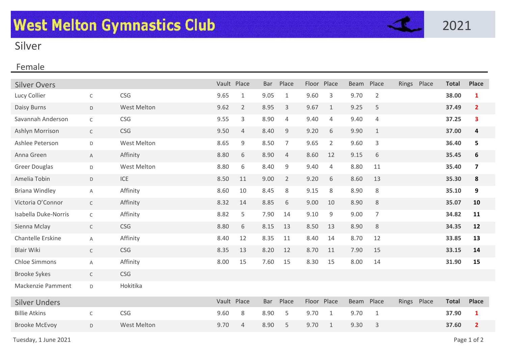

## Silver

## Female

| <b>Silver Overs</b>      |              |                    |      | Vault Place    | <b>Bar</b> | Place          |      | Floor Place    | Beam        | Place          | Rings Place | <b>Total</b> | <b>Place</b>   |
|--------------------------|--------------|--------------------|------|----------------|------------|----------------|------|----------------|-------------|----------------|-------------|--------------|----------------|
| Lucy Collier             | $\mathsf{C}$ | <b>CSG</b>         | 9.65 | 1              | 9.05       | 1              | 9.60 | 3              | 9.70        | $\overline{2}$ |             | 38.00        | 1              |
| Daisy Burns              | D            | <b>West Melton</b> | 9.62 | $\overline{2}$ | 8.95       | 3              | 9.67 | $\mathbf{1}$   | 9.25        | 5              |             | 37.49        | $\overline{2}$ |
| Savannah Anderson        | $\mathsf C$  | CSG                | 9.55 | 3              | 8.90       | 4              | 9.40 | 4              | 9.40        | 4              |             | 37.25        | 3              |
| Ashlyn Morrison          | $\mathsf{C}$ | CSG                | 9.50 | $\overline{4}$ | 8.40       | 9              | 9.20 | 6              | 9.90        | $\mathbf{1}$   |             | 37.00        | 4              |
| Ashlee Peterson          | D            | <b>West Melton</b> | 8.65 | 9              | 8.50       | $\overline{7}$ | 9.65 | $\overline{2}$ | 9.60        | 3              |             | 36.40        | 5              |
| Anna Green               | $\mathsf{A}$ | Affinity           | 8.80 | 6              | 8.90       | $\overline{4}$ | 8.60 | 12             | 9.15        | 6              |             | 35.45        | 6              |
| <b>Greer Douglas</b>     | D            | <b>West Melton</b> | 8.80 | 6              | 8.40       | 9              | 9.40 | 4              | 8.80        | 11             |             | 35.40        | 7              |
| Amelia Tobin             | D            | ICE                | 8.50 | 11             | 9.00       | $\overline{2}$ | 9.20 | 6              | 8.60        | 13             |             | 35.30        | 8              |
| <b>Briana Windley</b>    | A            | Affinity           | 8.60 | 10             | 8.45       | 8              | 9.15 | 8              | 8.90        | 8              |             | 35.10        | 9              |
| Victoria O'Connor        | $\mathsf C$  | Affinity           | 8.32 | 14             | 8.85       | 6              | 9.00 | 10             | 8.90        | 8              |             | 35.07        | 10             |
| Isabella Duke-Norris     | $\mathsf C$  | Affinity           | 8.82 | 5              | 7.90       | 14             | 9.10 | 9              | 9.00        | $\overline{7}$ |             | 34.82        | 11             |
| Sienna Mclay             | $\mathsf C$  | CSG                | 8.80 | 6              | 8.15       | 13             | 8.50 | 13             | 8.90        | 8              |             | 34.35        | 12             |
| Chantelle Erskine        | A            | Affinity           | 8.40 | 12             | 8.35       | 11             | 8.40 | 14             | 8.70        | 12             |             | 33.85        | 13             |
| <b>Blair Wiki</b>        | $\mathsf C$  | <b>CSG</b>         | 8.35 | 13             | 8.20       | 12             | 8.70 | 11             | 7.90        | 15             |             | 33.15        | 14             |
| <b>Chloe Simmons</b>     | A            | Affinity           | 8.00 | 15             | 7.60       | 15             | 8.30 | 15             | 8.00        | 14             |             | 31.90        | 15             |
| <b>Brooke Sykes</b>      | $\mathsf{C}$ | CSG                |      |                |            |                |      |                |             |                |             |              |                |
| <b>Mackenzie Pamment</b> | D            | Hokitika           |      |                |            |                |      |                |             |                |             |              |                |
| <b>Silver Unders</b>     |              |                    |      | Vault Place    | Bar        | Place          |      | Floor Place    | <b>Beam</b> | Place          | Rings Place | <b>Total</b> | <b>Place</b>   |
| <b>Billie Atkins</b>     | $\mathsf C$  | <b>CSG</b>         | 9.60 | 8              | 8.90       | 5              | 9.70 | $\mathbf{1}$   | 9.70        | $\mathbf{1}$   |             | 37.90        | $\mathbf{1}$   |
| <b>Brooke McEvoy</b>     | D            | <b>West Melton</b> | 9.70 | $\overline{4}$ | 8.90       | 5              | 9.70 | $\mathbf{1}$   | 9.30        | 3              |             | 37.60        | $\overline{2}$ |
|                          |              |                    |      |                |            |                |      |                |             |                |             |              |                |

Tuesday, 1 June 2021 2002 Page 1 of 2